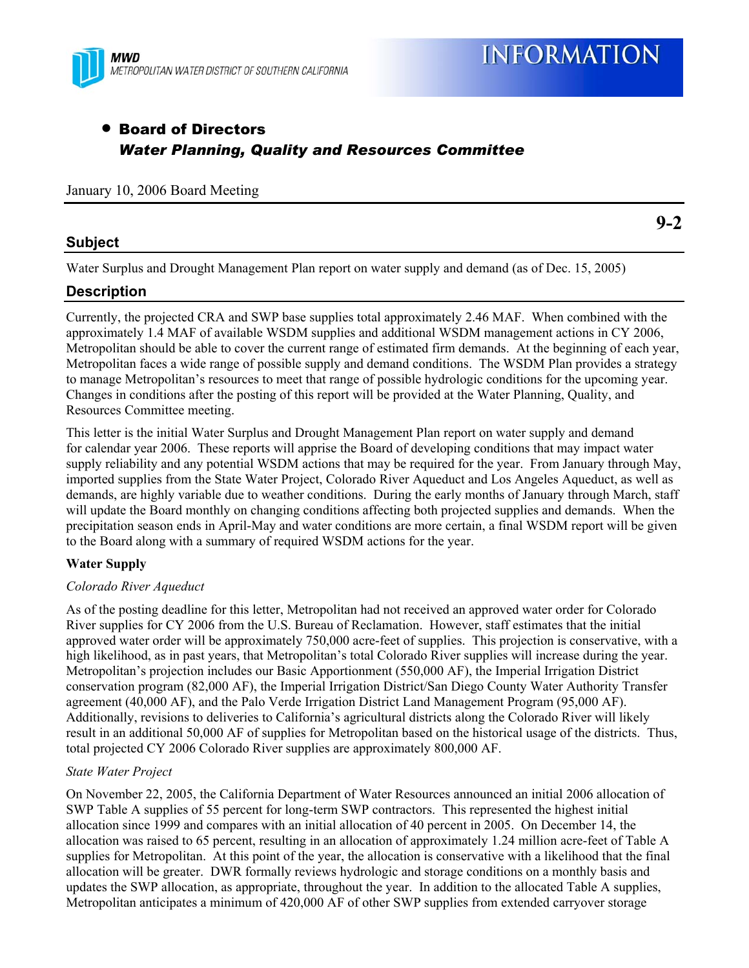

**9-2** 

# • Board of Directors *Water Planning, Quality and Resources Committee*

#### January 10, 2006 Board Meeting

## **Subject**

Water Surplus and Drought Management Plan report on water supply and demand (as of Dec. 15, 2005)

## **Description**

Currently, the projected CRA and SWP base supplies total approximately 2.46 MAF. When combined with the approximately 1.4 MAF of available WSDM supplies and additional WSDM management actions in CY 2006, Metropolitan should be able to cover the current range of estimated firm demands. At the beginning of each year, Metropolitan faces a wide range of possible supply and demand conditions. The WSDM Plan provides a strategy to manage Metropolitan's resources to meet that range of possible hydrologic conditions for the upcoming year. Changes in conditions after the posting of this report will be provided at the Water Planning, Quality, and Resources Committee meeting.

This letter is the initial Water Surplus and Drought Management Plan report on water supply and demand for calendar year 2006. These reports will apprise the Board of developing conditions that may impact water supply reliability and any potential WSDM actions that may be required for the year. From January through May, imported supplies from the State Water Project, Colorado River Aqueduct and Los Angeles Aqueduct, as well as demands, are highly variable due to weather conditions. During the early months of January through March, staff will update the Board monthly on changing conditions affecting both projected supplies and demands. When the precipitation season ends in April-May and water conditions are more certain, a final WSDM report will be given to the Board along with a summary of required WSDM actions for the year.

## **Water Supply**

#### *Colorado River Aqueduct*

As of the posting deadline for this letter, Metropolitan had not received an approved water order for Colorado River supplies for CY 2006 from the U.S. Bureau of Reclamation. However, staff estimates that the initial approved water order will be approximately 750,000 acre-feet of supplies. This projection is conservative, with a high likelihood, as in past years, that Metropolitan's total Colorado River supplies will increase during the year. Metropolitan's projection includes our Basic Apportionment (550,000 AF), the Imperial Irrigation District conservation program (82,000 AF), the Imperial Irrigation District/San Diego County Water Authority Transfer agreement (40,000 AF), and the Palo Verde Irrigation District Land Management Program (95,000 AF). Additionally, revisions to deliveries to California's agricultural districts along the Colorado River will likely result in an additional 50,000 AF of supplies for Metropolitan based on the historical usage of the districts. Thus, total projected CY 2006 Colorado River supplies are approximately 800,000 AF.

#### *State Water Project*

On November 22, 2005, the California Department of Water Resources announced an initial 2006 allocation of SWP Table A supplies of 55 percent for long-term SWP contractors. This represented the highest initial allocation since 1999 and compares with an initial allocation of 40 percent in 2005. On December 14, the allocation was raised to 65 percent, resulting in an allocation of approximately 1.24 million acre-feet of Table A supplies for Metropolitan. At this point of the year, the allocation is conservative with a likelihood that the final allocation will be greater. DWR formally reviews hydrologic and storage conditions on a monthly basis and updates the SWP allocation, as appropriate, throughout the year. In addition to the allocated Table A supplies, Metropolitan anticipates a minimum of 420,000 AF of other SWP supplies from extended carryover storage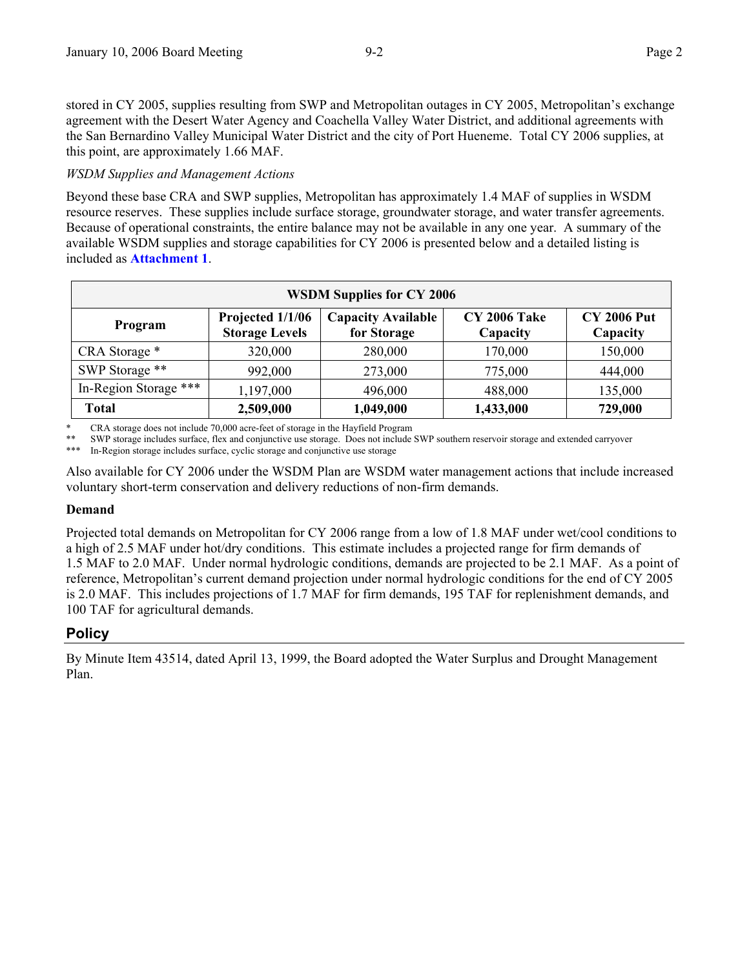stored in CY 2005, supplies resulting from SWP and Metropolitan outages in CY 2005, Metropolitan's exchange agreement with the Desert Water Agency and Coachella Valley Water District, and additional agreements with the San Bernardino Valley Municipal Water District and the city of Port Hueneme. Total CY 2006 supplies, at this point, are approximately 1.66 MAF.

### *WSDM Supplies and Management Actions*

Beyond these base CRA and SWP supplies, Metropolitan has approximately 1.4 MAF of supplies in WSDM resource reserves. These supplies include surface storage, groundwater storage, and water transfer agreements. Because of operational constraints, the entire balance may not be available in any one year. A summary of the available WSDM supplies and storage capabilities for CY 2006 is presented below and a detailed listing is included as **Attachment 1**.

| <b>WSDM Supplies for CY 2006</b> |                                           |                                          |                                 |                                |  |  |  |
|----------------------------------|-------------------------------------------|------------------------------------------|---------------------------------|--------------------------------|--|--|--|
| Program                          | Projected 1/1/06<br><b>Storage Levels</b> | <b>Capacity Available</b><br>for Storage | <b>CY 2006 Take</b><br>Capacity | <b>CY 2006 Put</b><br>Capacity |  |  |  |
| CRA Storage *                    | 320,000                                   | 280,000                                  | 170,000                         | 150,000                        |  |  |  |
| SWP Storage **                   | 992,000                                   | 273,000                                  | 775,000                         | 444,000                        |  |  |  |
| In-Region Storage ***            | 1,197,000                                 | 496,000                                  | 488,000                         | 135,000                        |  |  |  |
| <b>Total</b>                     | 2,509,000                                 | 1,049,000                                | 1,433,000                       | 729,000                        |  |  |  |

\* CRA storage does not include 70,000 acre-feet of storage in the Hayfield Program<br>\*\* SWD storage includes surface. Fou and conjunctive we starage. Does not include

\*\* SWP storage includes surface, flex and conjunctive use storage. Does not include SWP southern reservoir storage and extended carryover

In-Region storage includes surface, cyclic storage and conjunctive use storage

Also available for CY 2006 under the WSDM Plan are WSDM water management actions that include increased voluntary short-term conservation and delivery reductions of non-firm demands.

#### **Demand**

Projected total demands on Metropolitan for CY 2006 range from a low of 1.8 MAF under wet/cool conditions to a high of 2.5 MAF under hot/dry conditions. This estimate includes a projected range for firm demands of 1.5 MAF to 2.0 MAF. Under normal hydrologic conditions, demands are projected to be 2.1 MAF. As a point of reference, Metropolitan's current demand projection under normal hydrologic conditions for the end of CY 2005 is 2.0 MAF. This includes projections of 1.7 MAF for firm demands, 195 TAF for replenishment demands, and 100 TAF for agricultural demands.

# **Policy**

By Minute Item 43514, dated April 13, 1999, the Board adopted the Water Surplus and Drought Management Plan.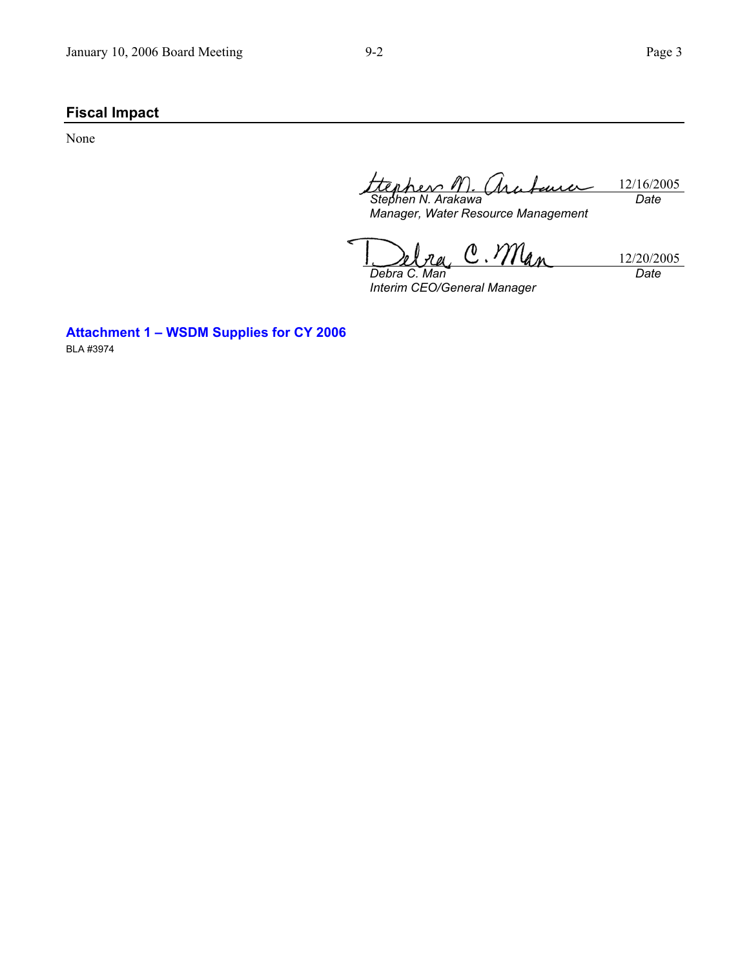# **Fiscal Impact**

None

12/16/2005 *Stephen N. Arakawa Date* 

*Manager, Water Resource Management* 

 $C.M_{4n}$ 12/20/2005 *Date Debra C. Man* 

*Interim CEO/General Manager* 

**Attachment 1 – WSDM Supplies for CY 2006** 

BLA #3974